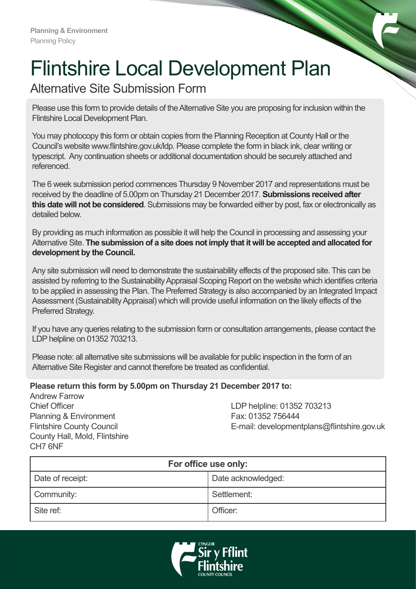# Flintshire Local Development Plan

# Alternative Site Submission Form

Please use this form to provide details of the Alternative Site you are proposing for inclusion within the Flintshire Local Development Plan.

You may photocopy this form or obtain copies from the Planning Reception at County Hall or the Council's website www.flintshire.gov.uk/ldp. Please complete the form in black ink, clear writing or typescript. Any continuation sheets or additional documentation should be securely attached and referenced.

The 6 week submission period commences Thursday 9 November 2017 and representations must be received by the deadline of 5.00pm on Thursday 21 December 2017. **Submissions received after this date will not be considered**. Submissions may be forwarded either by post, fax or electronically as detailed below.

By providing as much information as possible it will help the Council in processing and assessing your Alternative Site. **The submission of a site does not imply that it will be accepted and allocated for development by the Council.** 

Any site submission will need to demonstrate the sustainability effects of the proposed site. This can be assisted by referring to the Sustainability Appraisal Scoping Report on the website which identifies criteria to be applied in assessing the Plan. The Preferred Strategy is also accompanied by an Integrated Impact Assessment (Sustainability Appraisal) which will provide useful information on the likely effects of the Preferred Strategy.

If you have any queries relating to the submission form or consultation arrangements, please contact the LDP helpline on 01352 703213.

Please note: all alternative site submissions will be available for public inspection in the form of an Alternative Site Register and cannot therefore be treated as confidential.

#### **Please return this form by 5.00pm on Thursday 21 December 2017 to:**

Andrew Farrow Chief Officer LDP helpline: 01352 703213 Planning & Environment Fax: 01352 756444 County Hall, Mold, Flintshire CH7 6NF

Flintshire County Council E-mail: developmentplans@flintshire.gov.uk

| For office use only: |                    |
|----------------------|--------------------|
| Date of receipt:     | Date acknowledged: |
| Community:           | Settlement:        |
| Site ref:            | Officer:           |

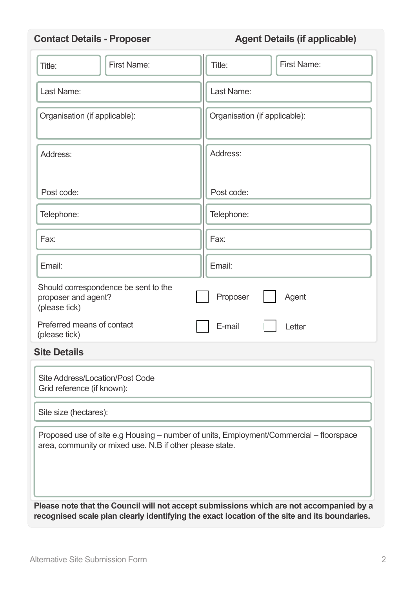# **Contact Details - Proposer Agent Details (if applicable)**

| <b>First Name:</b><br>Title:                                                                                                                       | <b>First Name:</b><br>Title:                                                            |  |
|----------------------------------------------------------------------------------------------------------------------------------------------------|-----------------------------------------------------------------------------------------|--|
| Last Name:                                                                                                                                         | Last Name:                                                                              |  |
| Organisation (if applicable):                                                                                                                      | Organisation (if applicable):                                                           |  |
| Address:                                                                                                                                           | Address:                                                                                |  |
| Post code:                                                                                                                                         | Post code:                                                                              |  |
| Telephone:                                                                                                                                         | Telephone:                                                                              |  |
| Fax:                                                                                                                                               | Fax:                                                                                    |  |
| Email:                                                                                                                                             | Email:                                                                                  |  |
| Should correspondence be sent to the<br>proposer and agent?<br>(please tick)                                                                       | Proposer<br>Agent                                                                       |  |
| Preferred means of contact<br>(please tick)                                                                                                        | E-mail<br>Letter                                                                        |  |
| <b>Site Details</b>                                                                                                                                |                                                                                         |  |
| <b>Site Address/Location/Post Code</b><br>Grid reference (if known):                                                                               |                                                                                         |  |
| Site size (hectares):                                                                                                                              |                                                                                         |  |
| Proposed use of site e.g Housing – number of units, Employment/Commercial – floorspace<br>area, community or mixed use. N.B if other please state. |                                                                                         |  |
| recognised scale plan clearly identifying the exact location of the site and its boundaries.                                                       | Please note that the Council will not accept submissions which are not accompanied by a |  |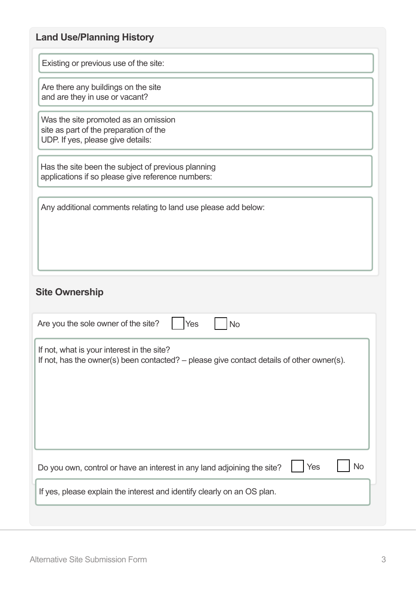# **Land Use/Planning History**

Existing or previous use of the site:

Are there any buildings on the site and are they in use or vacant?

Was the site promoted as an omission site as part of the preparation of the UDP. If yes, please give details:

Has the site been the subject of previous planning applications if so please give reference numbers:

Any additional comments relating to land use please add below:

# **Site Ownership**

| Are you the sole owner of the site?<br>Yes<br>No                                                                                        |
|-----------------------------------------------------------------------------------------------------------------------------------------|
| If not, what is your interest in the site?<br>If not, has the owner(s) been contacted? – please give contact details of other owner(s). |
| No<br>Yes<br>Do you own, control or have an interest in any land adjoining the site?                                                    |
| If yes, please explain the interest and identify clearly on an OS plan.                                                                 |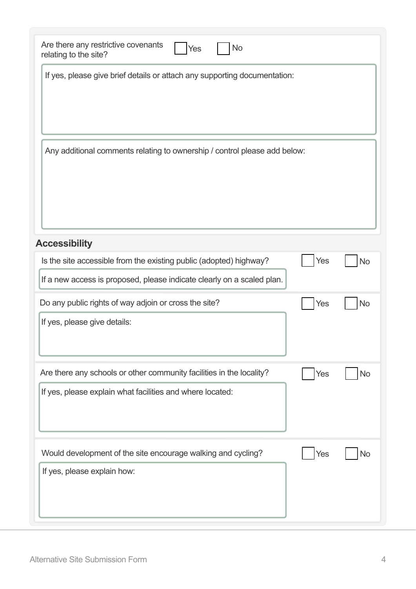| Are there any restrictive covenants<br><b>No</b><br>Yes<br>relating to the site? |     |           |
|----------------------------------------------------------------------------------|-----|-----------|
| If yes, please give brief details or attach any supporting documentation:        |     |           |
| Any additional comments relating to ownership / control please add below:        |     |           |
| <b>Accessibility</b>                                                             |     |           |
| Is the site accessible from the existing public (adopted) highway?               | Yes | <b>No</b> |
| If a new access is proposed, please indicate clearly on a scaled plan.           |     |           |
| Do any public rights of way adjoin or cross the site?                            | Yes | <b>No</b> |
| If yes, please give details:                                                     |     |           |
| Are there any schools or other community facilities in the locality?             | Yes | <b>No</b> |
| If yes, please explain what facilities and where located:                        |     |           |
| Would development of the site encourage walking and cycling?                     | Yes | No        |
| If yes, please explain how:                                                      |     |           |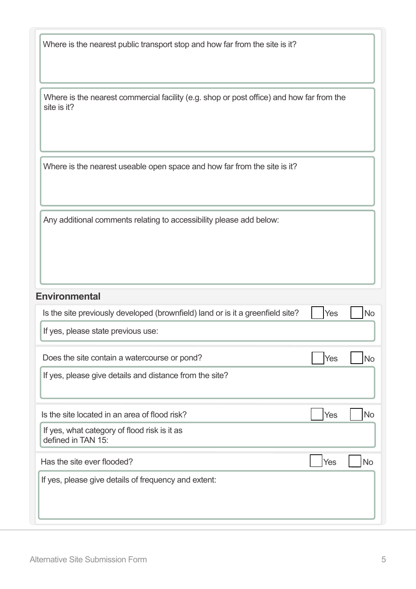Where is the nearest public transport stop and how far from the site is it?

Where is the nearest commercial facility (e.g. shop or post office) and how far from the site is it?

Where is the nearest useable open space and how far from the site is it?

Any additional comments relating to accessibility please add below:

### **Environmental**

| Is the site previously developed (brownfield) land or is it a greenfield site? | Yes | No |
|--------------------------------------------------------------------------------|-----|----|
| If yes, please state previous use:                                             |     |    |
| Does the site contain a watercourse or pond?                                   | Yes |    |
| If yes, please give details and distance from the site?                        |     |    |
|                                                                                |     |    |
| Is the site located in an area of flood risk?                                  | Yes | No |
| If yes, what category of flood risk is it as<br>defined in TAN 15:             |     |    |
| Has the site ever flooded?                                                     | Yes |    |
| If yes, please give details of frequency and extent:                           |     |    |
|                                                                                |     |    |
|                                                                                |     |    |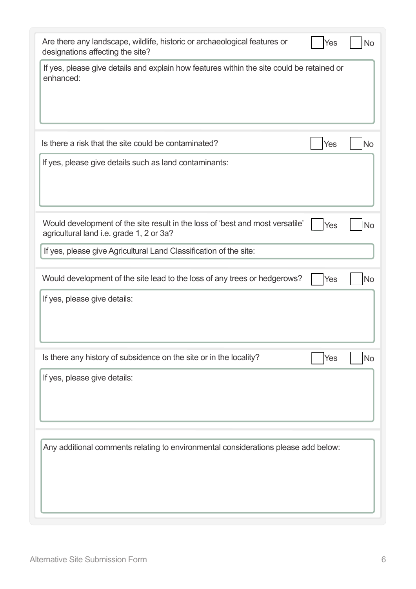| Are there any landscape, wildlife, historic or archaeological features or<br>designations affecting the site?             | Yes | No        |
|---------------------------------------------------------------------------------------------------------------------------|-----|-----------|
| If yes, please give details and explain how features within the site could be retained or<br>enhanced:                    |     |           |
| Is there a risk that the site could be contaminated?                                                                      | Yes | N٥        |
| If yes, please give details such as land contaminants:                                                                    |     |           |
| Would development of the site result in the loss of 'best and most versatile'<br>agricultural land i.e. grade 1, 2 or 3a? | Yes | No        |
| If yes, please give Agricultural Land Classification of the site:                                                         |     |           |
| Would development of the site lead to the loss of any trees or hedgerows?                                                 | Yes | <b>No</b> |
| If yes, please give details:                                                                                              |     |           |
| Is there any history of subsidence on the site or in the locality?                                                        | Yes | <b>No</b> |
| If yes, please give details:                                                                                              |     |           |
| Any additional comments relating to environmental considerations please add below:                                        |     |           |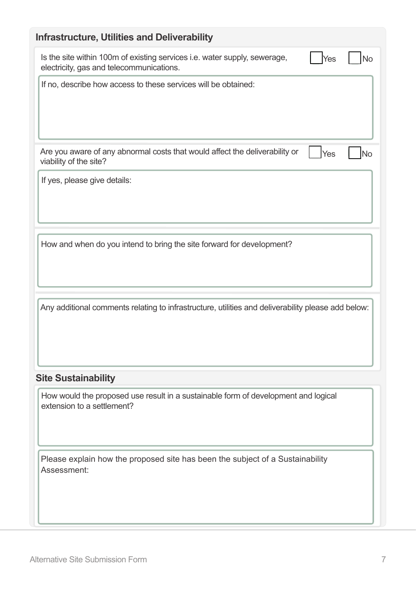| <b>Infrastructure, Utilities and Deliverability</b>                                                                   |     |    |
|-----------------------------------------------------------------------------------------------------------------------|-----|----|
| Is the site within 100m of existing services i.e. water supply, sewerage,<br>electricity, gas and telecommunications. | Yes | No |
| If no, describe how access to these services will be obtained:                                                        |     |    |
| Are you aware of any abnormal costs that would affect the deliverability or<br>viability of the site?                 | Yes | No |
| If yes, please give details:                                                                                          |     |    |
| How and when do you intend to bring the site forward for development?                                                 |     |    |

Any additional comments relating to infrastructure, utilities and deliverability please add below:

## **Site Sustainability**

How would the proposed use result in a sustainable form of development and logical extension to a settlement?

Please explain how the proposed site has been the subject of a Sustainability Assessment: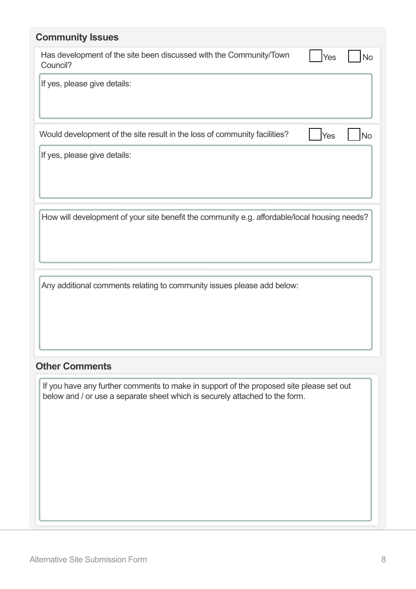| <b>Community Issues</b>                                                                      |     |           |
|----------------------------------------------------------------------------------------------|-----|-----------|
| Has development of the site been discussed with the Community/Town<br>Council?               | Yes | No        |
| If yes, please give details:                                                                 |     |           |
| Would development of the site result in the loss of community facilities?                    | Yes | <b>No</b> |
| If yes, please give details:                                                                 |     |           |
| How will development of your site benefit the community e.g. affordable/local housing needs? |     |           |

Any additional comments relating to community issues please add below:

# **Other Comments**

If you have any further comments to make in support of the proposed site please set out below and / or use a separate sheet which is securely attached to the form.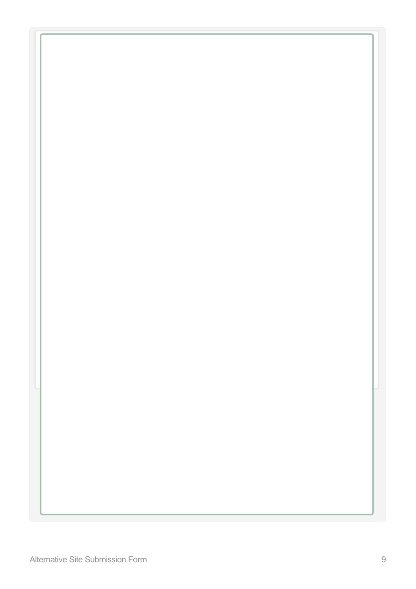